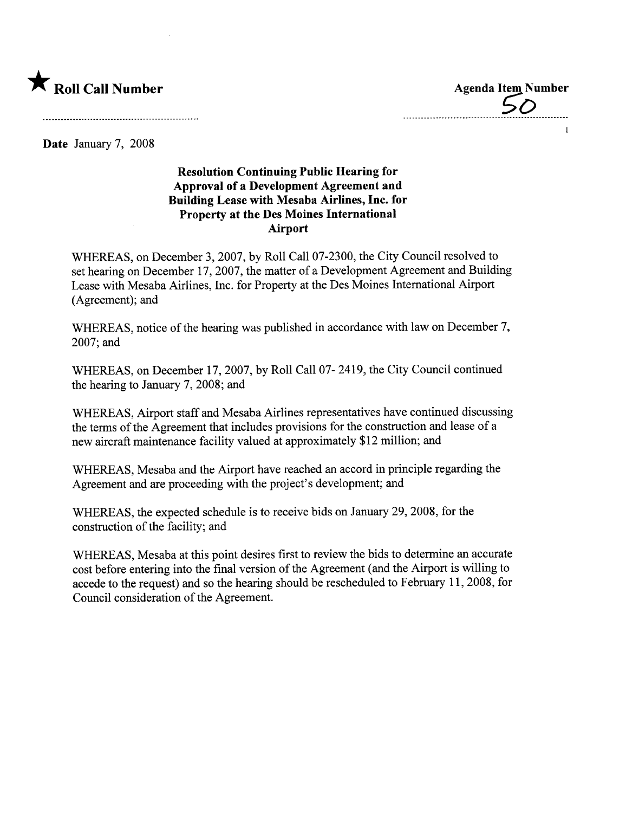

 $50$ 

 $\mathbf{1}$ 

Date January 7, 2008

## Resolution Continuing Public Hearing for Approval of a Development Agreement and Building Lease with Mesaba Airlines, Inc. for Property at the Des Moines International Airport

WHEREAS, on December 3,2007, by Roll Call 07-2300, the City Council resolved to set hearing on December 17, 2007, the matter of a Development Agreement and Building Lease with Mesaba Airlines, Inc. for Property at the Des Moines International Airport (Agreement); and

WHEREAS, notice of the hearing was published in accordance with law on December 7, 2007; and

WHEREAS, on December 17, 2007, by Roll Call 07- 2419, the City Council continued the hearing to January 7, 2008; and

WHEREAS, Airport staff and Mesaba Airlines representatives have continued discussing the terms of the Agreement that includes provisions for the construction and lease of a new aircraft maintenance facility valued at approximately \$12 milion; and

WHEREAS, Mesaba and the Airport have reached an accord in principle regarding the Agreement and are proceeding with the project's development; and

WHEREAS, the expected schedule is to receive bids on January 29, 2008, for the construction of the facility; and

WHEREAS, Mesaba at this point desires first to review the bids to determine an accurate cost before entering into the final version of the Agreement (and the Airport is willing to accede to the request) and so the hearing should be rescheduled to February 11,2008, for Council consideration of the Agreement.